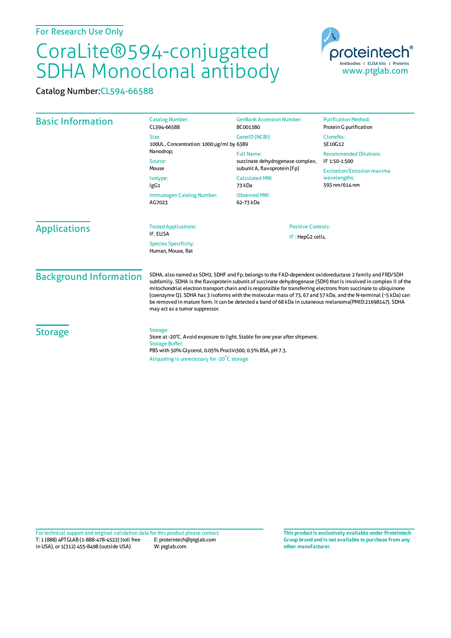## CoraLite®594-conjugated SDHA Monoclonal antibody

Catalog Number:CL594-66588

| <b>Basic Information</b>                                             | <b>Catalog Number:</b><br>CL594-66588                                                                                                                                                                                                                                                                                                                                                                                                                                                                                                                                                                                | <b>GenBank Accession Number:</b><br>BC001380                                                 | <b>Purification Method:</b><br>Protein G purification              |                     |
|----------------------------------------------------------------------|----------------------------------------------------------------------------------------------------------------------------------------------------------------------------------------------------------------------------------------------------------------------------------------------------------------------------------------------------------------------------------------------------------------------------------------------------------------------------------------------------------------------------------------------------------------------------------------------------------------------|----------------------------------------------------------------------------------------------|--------------------------------------------------------------------|---------------------|
|                                                                      | Size:<br>100UL, Concentration: 1000 µg/ml by 6389                                                                                                                                                                                                                                                                                                                                                                                                                                                                                                                                                                    | GenelD (NCBI):                                                                               | CloneNo.:<br>5E10G12                                               |                     |
|                                                                      | Nanodrop;<br>Source:                                                                                                                                                                                                                                                                                                                                                                                                                                                                                                                                                                                                 | <b>Full Name:</b><br>succinate dehydrogenase complex,                                        | <b>Recommended Dilutions:</b><br>IF 1:50-1:500                     |                     |
|                                                                      | Mouse<br>Isotype:<br>lgG1<br>Immunogen Catalog Number:<br>AG7023                                                                                                                                                                                                                                                                                                                                                                                                                                                                                                                                                     | subunit A, flavoprotein (Fp)<br><b>Calculated MW:</b><br>73 kDa<br>Observed MW:<br>62-73 kDa | <b>Excitation/Emission maxima</b><br>wavelengths:<br>593 nm/614 nm |                     |
|                                                                      |                                                                                                                                                                                                                                                                                                                                                                                                                                                                                                                                                                                                                      |                                                                                              |                                                                    | <b>Applications</b> |
| IF: HepG2 cells,<br><b>Species Specificity:</b><br>Human, Mouse, Rat |                                                                                                                                                                                                                                                                                                                                                                                                                                                                                                                                                                                                                      |                                                                                              |                                                                    |                     |
| <b>Background Information</b>                                        | SDHA, also named as SDH2, SDHF and Fp, belongs to the FAD-dependent oxidoreductase 2 family and FRD/SDH<br>subfamily. SDHA is the flavoprotein subunit of succinate dehydrogenase (SDH) that is involved in complex II of the<br>mitochondrial electron transport chain and is responsible for transferring electrons from succinate to ubiquinone<br>(coenzyme Q). SDHA has 3 isoforms with the molecular mass of 73, 67 and 57 kDa, and the N-terminal (~5 kDa) can<br>be removed in mature form. It can be detected a band of 68 kDa in cutaneous melanoma(PMID:21698147). SDHA<br>may act as a tumor suppressor. |                                                                                              |                                                                    |                     |
| <b>Storage</b>                                                       | Storage:<br>Store at -20°C. Avoid exposure to light. Stable for one year after shipment.<br><b>Storage Buffer:</b><br>PBS with 50% Glycerol, 0.05% Proclin300, 0.5% BSA, pH 7.3.<br>Aliquoting is unnecessary for -20°C storage                                                                                                                                                                                                                                                                                                                                                                                      |                                                                                              |                                                                    |                     |

T: 1 (888) 4PTGLAB (1-888-478-4522) (toll free in USA), or 1(312) 455-8498 (outside USA) E: proteintech@ptglab.com W: ptglab.com Fortechnical support and original validation data forthis product please contact: **This productis exclusively available under Proteintech**

**Group brand and is not available to purchase from any other manufacturer.**